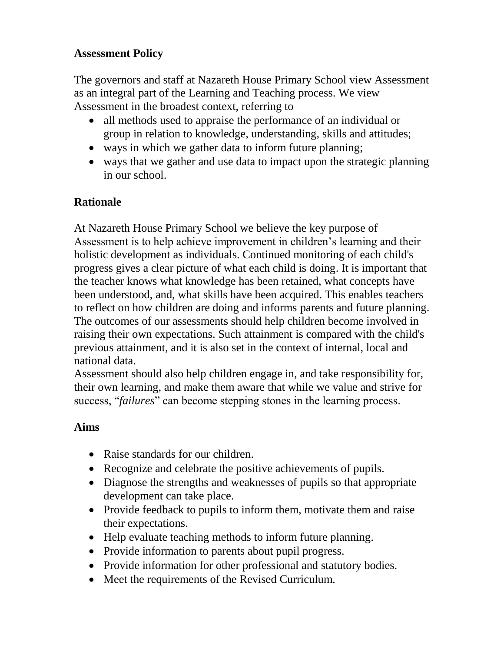## **Assessment Policy**

The governors and staff at Nazareth House Primary School view Assessment as an integral part of the Learning and Teaching process. We view Assessment in the broadest context, referring to

- all methods used to appraise the performance of an individual or group in relation to knowledge, understanding, skills and attitudes;
- ways in which we gather data to inform future planning;
- ways that we gather and use data to impact upon the strategic planning in our school.

#### **Rationale**

At Nazareth House Primary School we believe the key purpose of Assessment is to help achieve improvement in children's learning and their holistic development as individuals. Continued monitoring of each child's progress gives a clear picture of what each child is doing. It is important that the teacher knows what knowledge has been retained, what concepts have been understood, and, what skills have been acquired. This enables teachers to reflect on how children are doing and informs parents and future planning. The outcomes of our assessments should help children become involved in raising their own expectations. Such attainment is compared with the child's previous attainment, and it is also set in the context of internal, local and national data.

Assessment should also help children engage in, and take responsibility for, their own learning, and make them aware that while we value and strive for success, "*failures*" can become stepping stones in the learning process.

#### **Aims**

- Raise standards for our children.
- Recognize and celebrate the positive achievements of pupils.
- Diagnose the strengths and weaknesses of pupils so that appropriate development can take place.
- Provide feedback to pupils to inform them, motivate them and raise their expectations.
- Help evaluate teaching methods to inform future planning.
- Provide information to parents about pupil progress.
- Provide information for other professional and statutory bodies.
- Meet the requirements of the Revised Curriculum.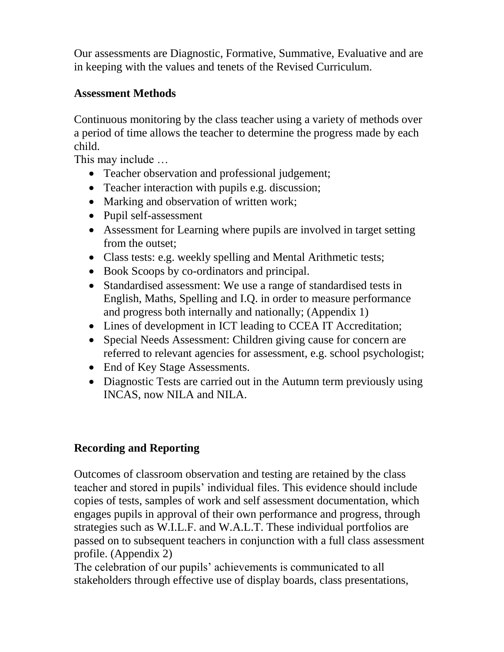Our assessments are Diagnostic, Formative, Summative, Evaluative and are in keeping with the values and tenets of the Revised Curriculum.

### **Assessment Methods**

Continuous monitoring by the class teacher using a variety of methods over a period of time allows the teacher to determine the progress made by each child.

This may include …

- Teacher observation and professional judgement;
- Teacher interaction with pupils e.g. discussion;
- Marking and observation of written work;
- Pupil self-assessment
- Assessment for Learning where pupils are involved in target setting from the outset;
- Class tests: e.g. weekly spelling and Mental Arithmetic tests;
- Book Scoops by co-ordinators and principal.
- Standardised assessment: We use a range of standardised tests in English, Maths, Spelling and I.Q. in order to measure performance and progress both internally and nationally; (Appendix 1)
- Lines of development in ICT leading to CCEA IT Accreditation;
- Special Needs Assessment: Children giving cause for concern are referred to relevant agencies for assessment, e.g. school psychologist;
- End of Key Stage Assessments.
- Diagnostic Tests are carried out in the Autumn term previously using INCAS, now NILA and NILA.

# **Recording and Reporting**

Outcomes of classroom observation and testing are retained by the class teacher and stored in pupils' individual files. This evidence should include copies of tests, samples of work and self assessment documentation, which engages pupils in approval of their own performance and progress, through strategies such as W.I.L.F. and W.A.L.T. These individual portfolios are passed on to subsequent teachers in conjunction with a full class assessment profile. (Appendix 2)

The celebration of our pupils' achievements is communicated to all stakeholders through effective use of display boards, class presentations,